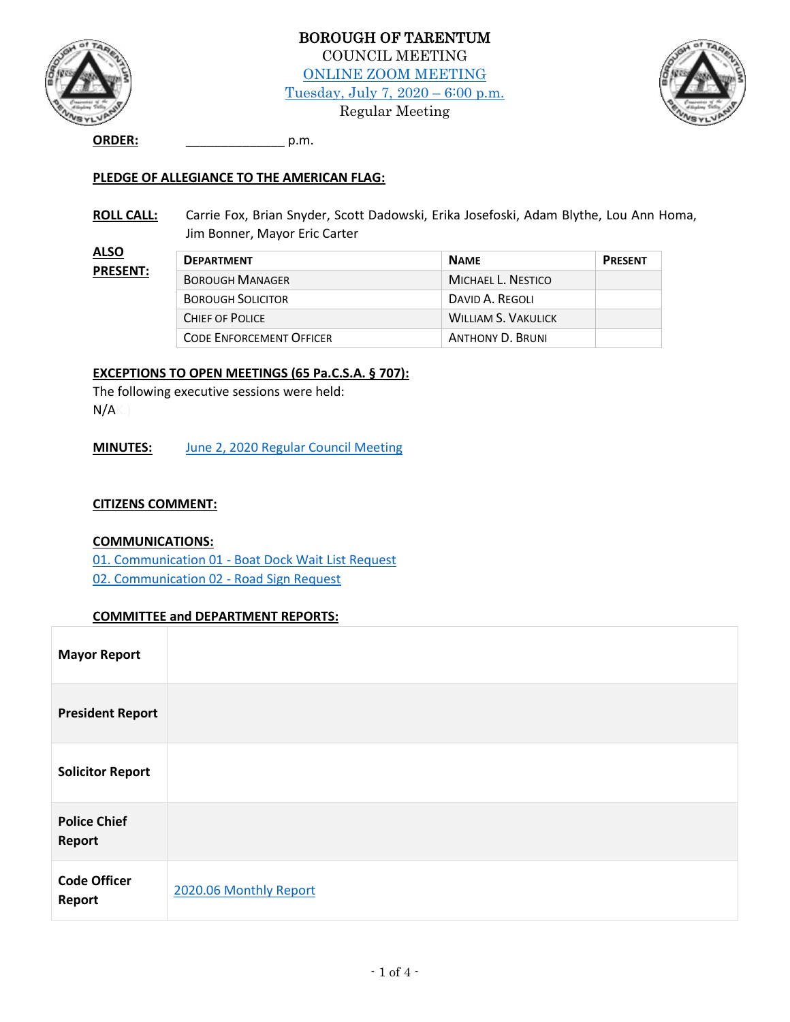

BOROUGH OF TARENTUM COUNCIL MEETING [ONLINE ZOOM MEETING](https://us02web.zoom.us/j/85423966845) [Tuesday, July 7, 2020](http://tarentumboro.com/resources/meetings/2020-07-07-regular-council-meeting) – 6:00 p.m. Regular Meeting



**ORDER:** \_\_\_\_\_\_\_\_\_\_\_\_\_\_ p.m.

## **PLEDGE OF ALLEGIANCE TO THE AMERICAN FLAG:**

**ROLL CALL:** Carrie Fox, Brian Snyder, Scott Dadowski, Erika Josefoski, Adam Blythe, Lou Ann Homa, Jim Bonner, Mayor Eric Carter

| <b>ALSO</b><br><b>PRESENT:</b> | <b>DEPARTMENT</b>               | <b>NAME</b>                | <b>PRESENT</b> |
|--------------------------------|---------------------------------|----------------------------|----------------|
|                                | <b>BOROUGH MANAGER</b>          | MICHAEL L. NESTICO         |                |
|                                | <b>BOROUGH SOLICITOR</b>        | DAVID A. REGOLI            |                |
|                                | CHIEF OF POLICE                 | <b>WILLIAM S. VAKULICK</b> |                |
|                                | <b>CODE ENFORCEMENT OFFICER</b> | ANTHONY D. BRUNI           |                |

#### **EXCEPTIONS TO OPEN MEETINGS (65 Pa.C.S.A. § 707):**

The following executive sessions were held: N/AK.)

**MINUTES:** June 2, 2020 [Regular Council Meeting](http://tarentumboro.com/wp-content/uploads/2020/06/2020.06.02-Minutes.pdf)

#### **CITIZENS COMMENT:**

#### **COMMUNICATIONS:**

01. Communication 01 - [Boat Dock Wait List Request](http://tarentumboro.com/wp-content/uploads/2020/07/Communication-01-Boat-Dock-Request.pdf) [02. Communication 02 -](http://tarentumboro.com/wp-content/uploads/2020/07/Communication-02-Street-Sign-Request.pdf) Road Sign Request

### **COMMITTEE and DEPARTMENT REPORTS:**

| <b>Mayor Report</b>           |                        |
|-------------------------------|------------------------|
| <b>President Report</b>       |                        |
| <b>Solicitor Report</b>       |                        |
| <b>Police Chief</b><br>Report |                        |
| <b>Code Officer</b><br>Report | 2020.06 Monthly Report |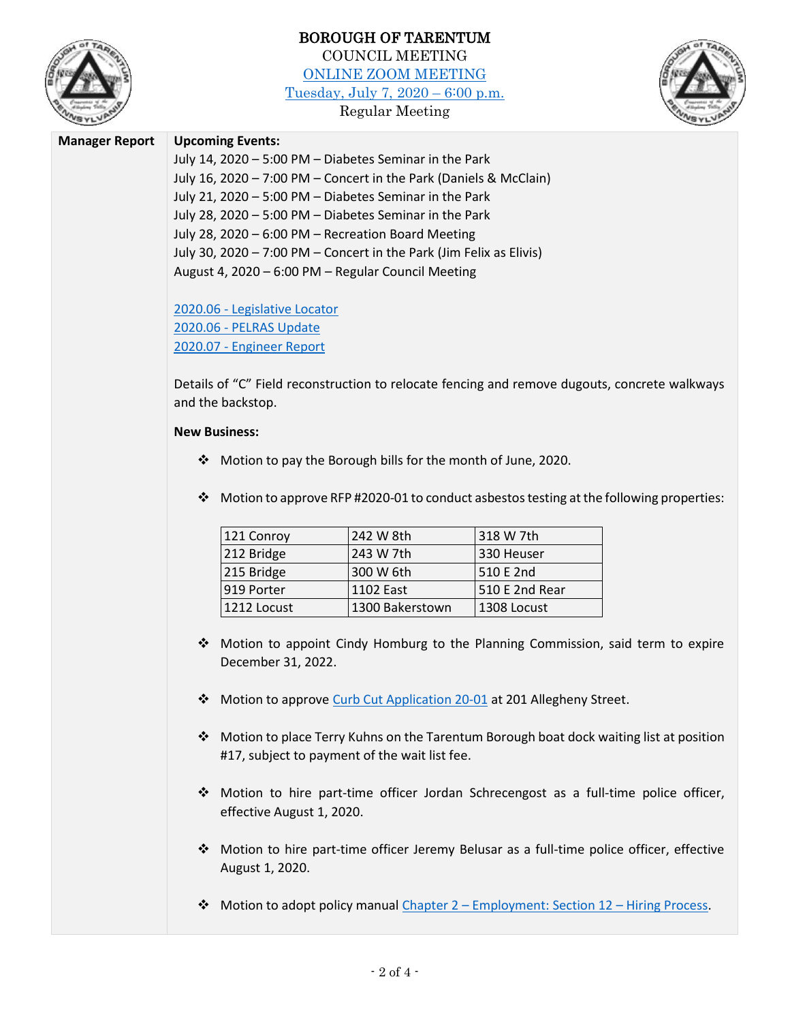

# BOROUGH OF TARENTUM COUNCIL MEETING [ONLINE ZOOM MEETING](https://us02web.zoom.us/j/85423966845) [Tuesday, July 7, 2020](http://tarentumboro.com/resources/meetings/2020-07-07-regular-council-meeting) – 6:00 p.m. Regular Meeting



## **Manager Report Upcoming Events:**

July 14, 2020 – 5:00 PM – Diabetes Seminar in the Park July 16, 2020 – 7:00 PM – Concert in the Park (Daniels & McClain) July 21, 2020 – 5:00 PM – Diabetes Seminar in the Park July 28, 2020 – 5:00 PM – Diabetes Seminar in the Park July 28, 2020 – 6:00 PM – Recreation Board Meeting July 30, 2020 – 7:00 PM – Concert in the Park (Jim Felix as Elivis) August 4, 2020 – 6:00 PM – Regular Council Meeting

2020.06 - [Legislative Locator](http://tarentumboro.com/wp-content/uploads/2020/07/2020.06-Legislative-Locator.pdf) 2020.06 - [PELRAS Update](http://tarentumboro.com/wp-content/uploads/2020/07/2020.06-PELRAS-Update.pdf) 2020.07 - [Engineer Report](http://tarentumboro.com/wp-content/uploads/2020/07/2020.07-Engineer-Report.pdf)

Details of "C" Field reconstruction to relocate fencing and remove dugouts, concrete walkways and the backstop.

### **New Business:**

- ❖ Motion to pay the Borough bills for the month of June, 2020.
- ❖ Motion to approve RFP #2020-01 to conduct asbestos testing at the following properties:

| 121 Conroy  | 242 W 8th        | 318 W 7th      |
|-------------|------------------|----------------|
| 212 Bridge  | 243 W 7th        | 330 Heuser     |
| 215 Bridge  | 300 W 6th        | 510 E 2nd      |
| 919 Porter  | <b>1102 East</b> | 510 E 2nd Rear |
| 1212 Locust | 1300 Bakerstown  | 1308 Locust    |

- ❖ Motion to appoint Cindy Homburg to the Planning Commission, said term to expire December 31, 2022.
- ❖ Motion to approve Curb Cut [Application 20-01](http://tarentumboro.com/wp-content/uploads/2020/07/Curb-Cut-Application-20-01.pdf) at 201 Allegheny Street.
- ❖ Motion to place Terry Kuhns on the Tarentum Borough boat dock waiting list at position #17, subject to payment of the wait list fee.
- ❖ Motion to hire part-time officer Jordan Schrecengost as a full-time police officer, effective August 1, 2020.
- ❖ Motion to hire part-time officer Jeremy Belusar as a full-time police officer, effective August 1, 2020.
- ❖ Motion to adopt policy manual Chapter 2 [Employment: Section 12](http://tarentumboro.com/wp-content/uploads/2020/07/Chapter-2-Employment-Section-12-Hiring-Process-Draft.pdf)  Hiring Process.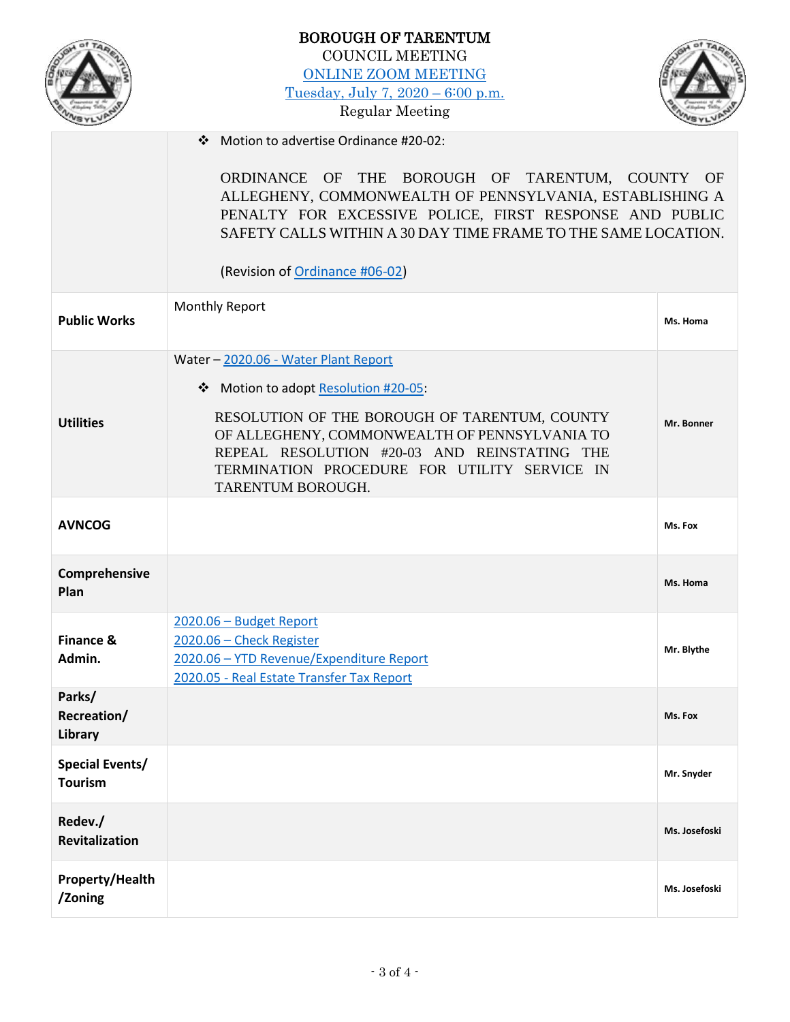|                                          | <b>BOROUGH OF TARENTUM</b><br><b>COUNCIL MEETING</b><br><b>ONLINE ZOOM MEETING</b><br>Tuesday, July 7, 2020 - 6:00 p.m.<br><b>Regular Meeting</b>                                                                                                                                                                   |               |
|------------------------------------------|---------------------------------------------------------------------------------------------------------------------------------------------------------------------------------------------------------------------------------------------------------------------------------------------------------------------|---------------|
|                                          | ❖ Motion to advertise Ordinance #20-02:<br>ORDINANCE OF THE BOROUGH OF TARENTUM, COUNTY OF<br>ALLEGHENY, COMMONWEALTH OF PENNSYLVANIA, ESTABLISHING A<br>PENALTY FOR EXCESSIVE POLICE, FIRST RESPONSE AND PUBLIC<br>SAFETY CALLS WITHIN A 30 DAY TIME FRAME TO THE SAME LOCATION.<br>(Revision of Ordinance #06-02) |               |
| <b>Public Works</b>                      | Monthly Report                                                                                                                                                                                                                                                                                                      | Ms. Homa      |
| <b>Utilities</b>                         | Water - 2020.06 - Water Plant Report<br>Motion to adopt Resolution #20-05:<br>❖<br>RESOLUTION OF THE BOROUGH OF TARENTUM, COUNTY<br>OF ALLEGHENY, COMMONWEALTH OF PENNSYLVANIA TO<br>REPEAL RESOLUTION #20-03 AND REINSTATING THE<br>TERMINATION PROCEDURE FOR UTILITY SERVICE IN<br>TARENTUM BOROUGH.              | Mr. Bonner    |
| <b>AVNCOG</b>                            |                                                                                                                                                                                                                                                                                                                     | Ms. Fox       |
| Comprehensive<br>Plan                    |                                                                                                                                                                                                                                                                                                                     | Ms. Homa      |
| <b>Finance &amp;</b><br>Admin.           | 2020.06 - Budget Report<br>2020.06 - Check Register<br>2020.06 - YTD Revenue/Expenditure Report<br>2020.05 - Real Estate Transfer Tax Report                                                                                                                                                                        | Mr. Blythe    |
| Parks/<br>Recreation/<br>Library         |                                                                                                                                                                                                                                                                                                                     | Ms. Fox       |
| <b>Special Events/</b><br><b>Tourism</b> |                                                                                                                                                                                                                                                                                                                     | Mr. Snyder    |
| Redev./<br><b>Revitalization</b>         |                                                                                                                                                                                                                                                                                                                     | Ms. Josefoski |
| <b>Property/Health</b><br>/Zoning        |                                                                                                                                                                                                                                                                                                                     | Ms. Josefoski |